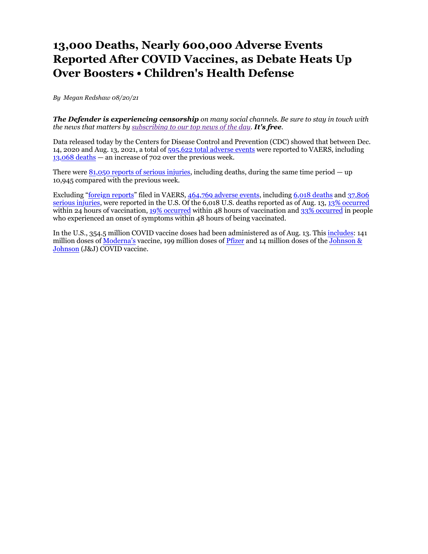# **13,000 Deaths, Nearly 600,000 Adverse Events Reported After COVID Vaccines, as Debate Heats Up Over Boosters • Children's Health Defense**

*By Megan Redshaw 08/20/21* 

*The Defender is experiencing censorship on many social channels. Be sure to stay in touch with the news that matters by subscribing to our top news of the day. It's free.*

Data released today by the Centers for Disease Control and Prevention (CDC) showed that between Dec. 14, 2020 and Aug. 13, 2021, a total of 595,622 total adverse events were reported to VAERS, including 13,068 deaths — an increase of 702 over the previous week.

There were  $81,050$  reports of serious injuries, including deaths, during the same time period  $-$  up 10,945 compared with the previous week.

Excluding "foreign reports" filed in VAERS, 464,769 adverse events, including 6,018 deaths and 37,806 serious injuries, were reported in the U.S. Of the 6,018 U.S. deaths reported as of Aug. 13, 13% occurred within 24 hours of vaccination, 19% occurred within 48 hours of vaccination and 33% occurred in people who experienced an onset of symptoms within 48 hours of being vaccinated.

In the U.S., 354.5 million COVID vaccine doses had been administered as of Aug. 13. This includes: 141 million doses of Moderna's vaccine, 199 million doses of Pfizer and 14 million doses of the Johnson & Johnson (J&J) COVID vaccine.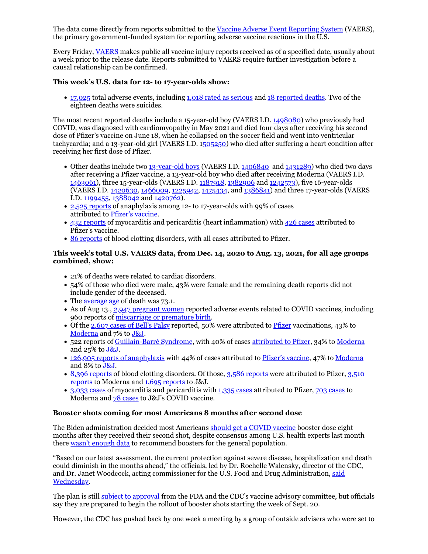The data come directly from reports submitted to the Vaccine Adverse Event Reporting System (VAERS), the primary government-funded system for reporting adverse vaccine reactions in the U.S.

Every Friday, VAERS makes public all vaccine injury reports received as of a specified date, usually about a week prior to the release date. Reports submitted to VAERS require further investigation before a causal relationship can be confirmed.

## **This week's U.S. data for 12- to 17-year-olds show:**

17,025 total adverse events, including 1,018 rated as serious and 18 reported deaths. Two of the eighteen deaths were suicides.

The most recent reported deaths include a 15-year-old boy (VAERS I.D. 1498080) who previously had COVID, was diagnosed with cardiomyopathy in May 2021 and died four days after receiving his second dose of Pfizer's vaccine on June 18, when he collapsed on the soccer field and went into ventricular tachycardia; and a 13-year-old girl (VAERS I.D. 1505250) who died after suffering a heart condition after receiving her first dose of Pfizer.

- Other deaths include two 13-year-old boys (VAERS I.D. 1406840 and 1431289) who died two days after receiving a Pfizer vaccine, a 13-year-old boy who died after receiving Moderna (VAERS I.D. 1463061), three 15-year-olds (VAERS I.D. 1187918, 1382906 and 1242573), five 16-year-olds (VAERS I.D. 1420630, 1466009, 1225942, 1475434, and 1386841) and three 17-year-olds (VAERS I.D. 1199455, 1388042 and 1420762).
- 2,525 reports of anaphylaxis among 12- to 17-year-olds with 99% of cases attributed to Pfizer's vaccine.
- 432 reports of myocarditis and pericarditis (heart inflammation) with 426 cases attributed to Pfizer's vaccine.
- 86 reports of blood clotting disorders, with all cases attributed to Pfizer.

# **This week's total U.S. VAERS data, from Dec. 14, 2020 to Aug. 13, 2021, for all age groups combined, show:**

- 21% of deaths were related to cardiac disorders.
- 54% of those who died were male, 43% were female and the remaining death reports did not include gender of the deceased.
- The average age of death was 73.1.
- As of Aug 13., 2,947 pregnant women reported adverse events related to COVID vaccines, including 960 reports of miscarriage or premature birth.
- Of the 2,607 cases of Bell's Palsy reported, 50% were attributed to Pfizer vaccinations, 43% to Moderna and 7% to J&J.
- 522 reports of Guillain-Barré Syndrome, with 40% of cases attributed to Pfizer, 34% to Moderna and 25% to J&J.
- 126,905 reports of anaphylaxis with 44% of cases attributed to Pfizer's vaccine, 47% to Moderna and 8% to J&J.
- 8,396 reports of blood clotting disorders. Of those, 3,586 reports were attributed to Pfizer, 3,510 reports to Moderna and 1,695 reports to J&J.
- 3,033 cases of myocarditis and pericarditis with 1,335 cases attributed to Pfizer, 703 cases to Moderna and 78 cases to J&J's COVID vaccine.

## **Booster shots coming for most Americans 8 months after second dose**

The Biden administration decided most Americans should get a COVID vaccine booster dose eight months after they received their second shot, despite consensus among U.S. health experts last month there wasn't enough data to recommend boosters for the general population.

"Based on our latest assessment, the current protection against severe disease, hospitalization and death could diminish in the months ahead," the officials, led by Dr. Rochelle Walensky, director of the CDC, and Dr. Janet Woodcock, acting commissioner for the U.S. Food and Drug Administration, said Wednesday.

The plan is still subject to approval from the FDA and the CDC's vaccine advisory committee, but officials say they are prepared to begin the rollout of booster shots starting the week of Sept. 20.

However, the CDC has pushed back by one week a meeting by a group of outside advisers who were set to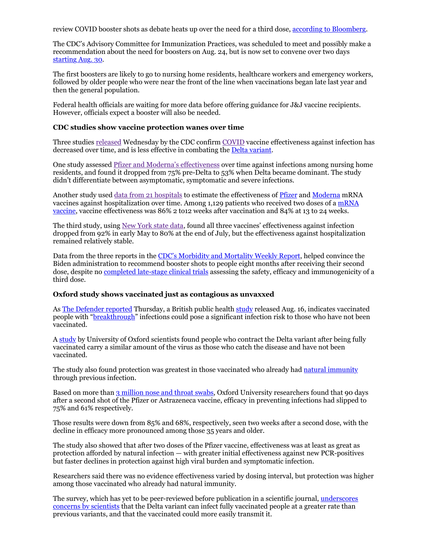review COVID booster shots as debate heats up over the need for a third dose, according to Bloomberg.

The CDC's Advisory Committee for Immunization Practices, was scheduled to meet and possibly make a recommendation about the need for boosters on Aug. 24, but is now set to convene over two days starting Aug. 30.

The first boosters are likely to go to nursing home residents, healthcare workers and emergency workers, followed by older people who were near the front of the line when vaccinations began late last year and then the general population.

Federal health officials are waiting for more data before offering guidance for J&J vaccine recipients. However, officials expect a booster will also be needed.

#### **CDC studies show vaccine protection wanes over time**

Three studies released Wednesday by the CDC confirm COVID vaccine effectiveness against infection has decreased over time, and is less effective in combating the Delta variant.

One study assessed Pfizer and Moderna's effectiveness over time against infections among nursing home residents, and found it dropped from 75% pre-Delta to 53% when Delta became dominant. The study didn't differentiate between asymptomatic, symptomatic and severe infections.

Another study used data from 21 hospitals to estimate the effectiveness of Pfizer and Moderna mRNA vaccines against hospitalization over time. Among 1,129 patients who received two doses of a mRNA vaccine, vaccine effectiveness was 86% 2 to12 weeks after vaccination and 84% at 13 to 24 weeks.

The third study, using New York state data, found all three vaccines' effectiveness against infection dropped from 92% in early May to 80% at the end of July, but the effectiveness against hospitalization remained relatively stable.

Data from the three reports in the CDC's Morbidity and Mortality Weekly Report, helped convince the Biden administration to recommend booster shots to people eight months after receiving their second dose, despite no completed late-stage clinical trials assessing the safety, efficacy and immunogenicity of a third dose.

#### **Oxford study shows vaccinated just as contagious as unvaxxed**

As The Defender reported Thursday, a British public health study released Aug. 16, indicates vaccinated people with "breakthrough" infections could pose a significant infection risk to those who have not been vaccinated.

A study by University of Oxford scientists found people who contract the Delta variant after being fully vaccinated carry a similar amount of the virus as those who catch the disease and have not been vaccinated.

The study also found protection was greatest in those vaccinated who already had natural immunity through previous infection.

Based on more than 3 million nose and throat swabs, Oxford University researchers found that 90 days after a second shot of the Pfizer or Astrazeneca vaccine, efficacy in preventing infections had slipped to 75% and 61% respectively.

Those results were down from 85% and 68%, respectively, seen two weeks after a second dose, with the decline in efficacy more pronounced among those 35 years and older.

The study also showed that after two doses of the Pfizer vaccine, effectiveness was at least as great as protection afforded by natural infection — with greater initial effectiveness against new PCR-positives but faster declines in protection against high viral burden and symptomatic infection.

Researchers said there was no evidence effectiveness varied by dosing interval, but protection was higher among those vaccinated who already had natural immunity.

The survey, which has yet to be peer-reviewed before publication in a scientific journal, underscores concerns by scientists that the Delta variant can infect fully vaccinated people at a greater rate than previous variants, and that the vaccinated could more easily transmit it.